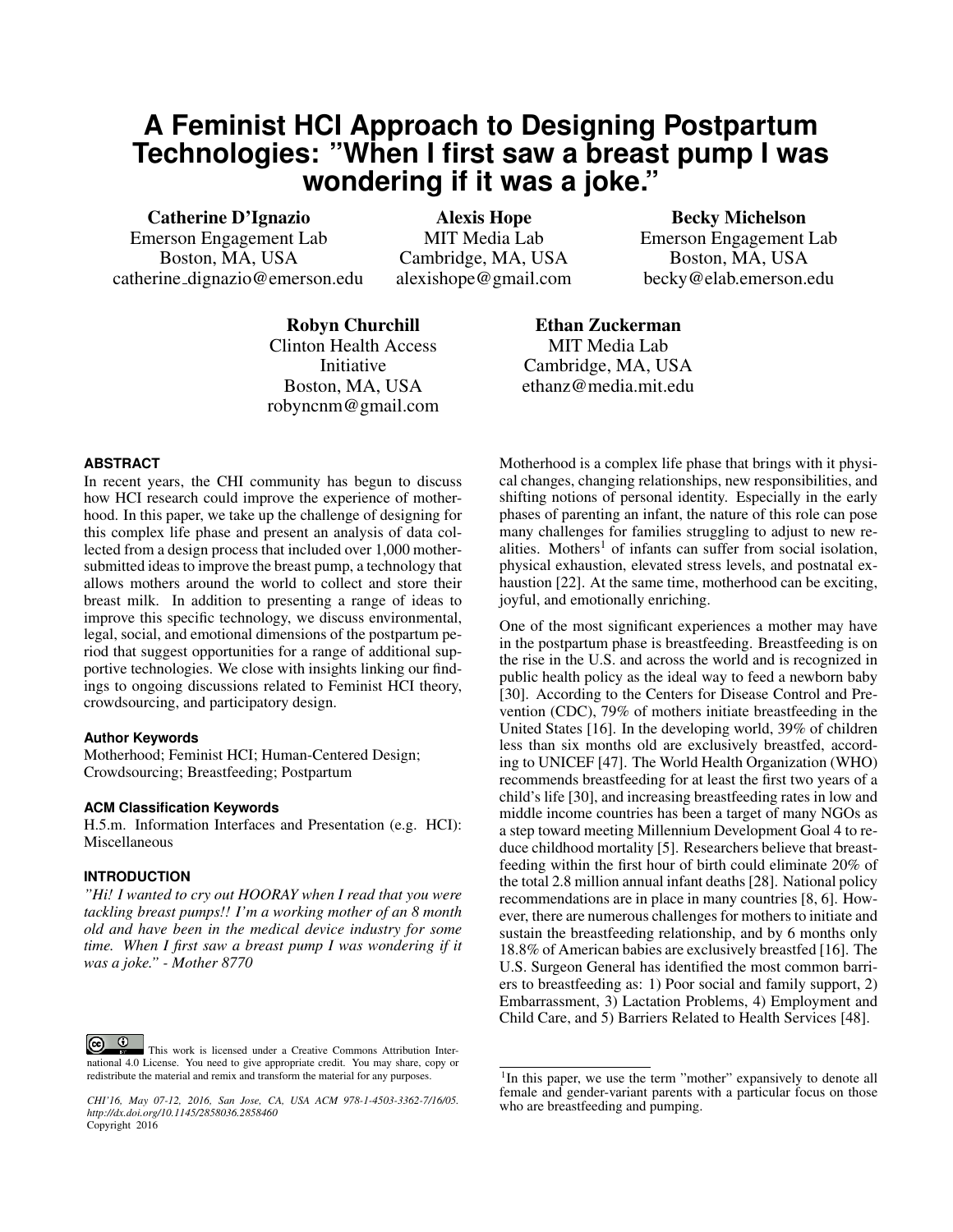# **A Feminist HCI Approach to Designing Postpartum Technologies: "When I first saw a breast pump I was wondering if it was a joke."**

Catherine D'Ignazio Emerson Engagement Lab Boston, MA, USA catherine dignazio@emerson.edu

Alexis Hope MIT Media Lab Cambridge, MA, USA alexishope@gmail.com

Becky Michelson Emerson Engagement Lab Boston, MA, USA becky@elab.emerson.edu

Robyn Churchill Clinton Health Access Initiative Boston, MA, USA robyncnm@gmail.com

Ethan Zuckerman MIT Media Lab Cambridge, MA, USA ethanz@media.mit.edu

## **ABSTRACT**

In recent years, the CHI community has begun to discuss how HCI research could improve the experience of motherhood. In this paper, we take up the challenge of designing for this complex life phase and present an analysis of data collected from a design process that included over 1,000 mothersubmitted ideas to improve the breast pump, a technology that allows mothers around the world to collect and store their breast milk. In addition to presenting a range of ideas to improve this specific technology, we discuss environmental, legal, social, and emotional dimensions of the postpartum period that suggest opportunities for a range of additional supportive technologies. We close with insights linking our findings to ongoing discussions related to Feminist HCI theory, crowdsourcing, and participatory design.

#### **Author Keywords**

Motherhood; Feminist HCI; Human-Centered Design; Crowdsourcing; Breastfeeding; Postpartum

#### **ACM Classification Keywords**

H.5.m. Information Interfaces and Presentation (e.g. HCI): Miscellaneous

### **INTRODUCTION**

*"Hi! I wanted to cry out HOORAY when I read that you were tackling breast pumps!! I'm a working mother of an 8 month old and have been in the medical device industry for some time. When I first saw a breast pump I was wondering if it was a joke." - Mother 8770*

This work is licensed under a Creative Commons Attribution International 4.0 License. You need to give appropriate credit. You may share, copy or redistribute the material and remix and transform the material for any purposes.

Motherhood is a complex life phase that brings with it physical changes, changing relationships, new responsibilities, and shifting notions of personal identity. Especially in the early phases of parenting an infant, the nature of this role can pose many challenges for families struggling to adjust to new re-alities. Mothers<sup>[1](#page-0-0)</sup> of infants can suffer from social isolation, physical exhaustion, elevated stress levels, and postnatal ex-haustion [\[22\]](#page-9-0). At the same time, motherhood can be exciting, joyful, and emotionally enriching.

One of the most significant experiences a mother may have in the postpartum phase is breastfeeding. Breastfeeding is on the rise in the U.S. and across the world and is recognized in public health policy as the ideal way to feed a newborn baby [\[30\]](#page-10-0). According to the Centers for Disease Control and Prevention (CDC), 79% of mothers initiate breastfeeding in the United States [\[16\]](#page-9-1). In the developing world, 39% of children less than six months old are exclusively breastfed, according to UNICEF [\[47\]](#page-10-1). The World Health Organization (WHO) recommends breastfeeding for at least the first two years of a child's life [\[30\]](#page-10-0), and increasing breastfeeding rates in low and middle income countries has been a target of many NGOs as a step toward meeting Millennium Development Goal 4 to reduce childhood mortality [\[5\]](#page-9-2). Researchers believe that breastfeeding within the first hour of birth could eliminate 20% of the total 2.8 million annual infant deaths [\[28\]](#page-10-2). National policy recommendations are in place in many countries [\[8,](#page-9-3) [6\]](#page-9-4). However, there are numerous challenges for mothers to initiate and sustain the breastfeeding relationship, and by 6 months only 18.8% of American babies are exclusively breastfed [\[16\]](#page-9-1). The U.S. Surgeon General has identified the most common barriers to breastfeeding as: 1) Poor social and family support, 2) Embarrassment, 3) Lactation Problems, 4) Employment and Child Care, and 5) Barriers Related to Health Services [\[48\]](#page-10-3).

*CHI'16, May 07-12, 2016, San Jose, CA, USA ACM 978-1-4503-3362-7/16/05. http://dx.doi.org/10.1145/2858036.2858460* Copyright 2016

<span id="page-0-0"></span><sup>&</sup>lt;sup>1</sup>In this paper, we use the term "mother" expansively to denote all female and gender-variant parents with a particular focus on those who are breastfeeding and pumping.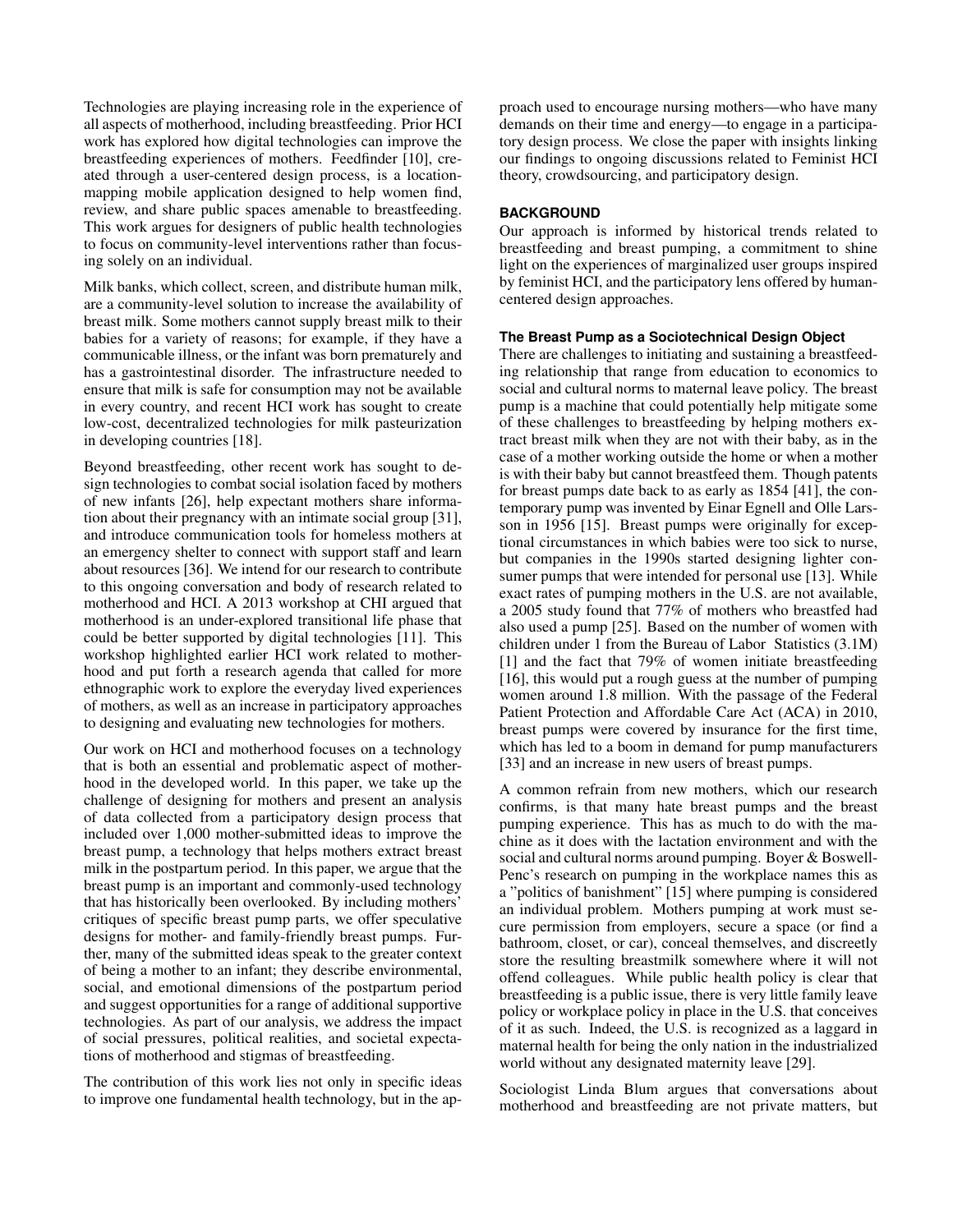Technologies are playing increasing role in the experience of all aspects of motherhood, including breastfeeding. Prior HCI work has explored how digital technologies can improve the breastfeeding experiences of mothers. Feedfinder [\[10\]](#page-9-5), created through a user-centered design process, is a locationmapping mobile application designed to help women find, review, and share public spaces amenable to breastfeeding. This work argues for designers of public health technologies to focus on community-level interventions rather than focusing solely on an individual.

Milk banks, which collect, screen, and distribute human milk, are a community-level solution to increase the availability of breast milk. Some mothers cannot supply breast milk to their babies for a variety of reasons; for example, if they have a communicable illness, or the infant was born prematurely and has a gastrointestinal disorder. The infrastructure needed to ensure that milk is safe for consumption may not be available in every country, and recent HCI work has sought to create low-cost, decentralized technologies for milk pasteurization in developing countries [\[18\]](#page-9-6).

Beyond breastfeeding, other recent work has sought to design technologies to combat social isolation faced by mothers of new infants [\[26\]](#page-10-4), help expectant mothers share information about their pregnancy with an intimate social group [\[31\]](#page-10-5), and introduce communication tools for homeless mothers at an emergency shelter to connect with support staff and learn about resources [\[36\]](#page-10-6). We intend for our research to contribute to this ongoing conversation and body of research related to motherhood and HCI. A 2013 workshop at CHI argued that motherhood is an under-explored transitional life phase that could be better supported by digital technologies [\[11\]](#page-9-7). This workshop highlighted earlier HCI work related to motherhood and put forth a research agenda that called for more ethnographic work to explore the everyday lived experiences of mothers, as well as an increase in participatory approaches to designing and evaluating new technologies for mothers.

Our work on HCI and motherhood focuses on a technology that is both an essential and problematic aspect of motherhood in the developed world. In this paper, we take up the challenge of designing for mothers and present an analysis of data collected from a participatory design process that included over 1,000 mother-submitted ideas to improve the breast pump, a technology that helps mothers extract breast milk in the postpartum period. In this paper, we argue that the breast pump is an important and commonly-used technology that has historically been overlooked. By including mothers' critiques of specific breast pump parts, we offer speculative designs for mother- and family-friendly breast pumps. Further, many of the submitted ideas speak to the greater context of being a mother to an infant; they describe environmental, social, and emotional dimensions of the postpartum period and suggest opportunities for a range of additional supportive technologies. As part of our analysis, we address the impact of social pressures, political realities, and societal expectations of motherhood and stigmas of breastfeeding.

The contribution of this work lies not only in specific ideas to improve one fundamental health technology, but in the approach used to encourage nursing mothers—who have many demands on their time and energy—to engage in a participatory design process. We close the paper with insights linking our findings to ongoing discussions related to Feminist HCI theory, crowdsourcing, and participatory design.

# **BACKGROUND**

Our approach is informed by historical trends related to breastfeeding and breast pumping, a commitment to shine light on the experiences of marginalized user groups inspired by feminist HCI, and the participatory lens offered by humancentered design approaches.

# **The Breast Pump as a Sociotechnical Design Object**

There are challenges to initiating and sustaining a breastfeeding relationship that range from education to economics to social and cultural norms to maternal leave policy. The breast pump is a machine that could potentially help mitigate some of these challenges to breastfeeding by helping mothers extract breast milk when they are not with their baby, as in the case of a mother working outside the home or when a mother is with their baby but cannot breastfeed them. Though patents for breast pumps date back to as early as 1854 [\[41\]](#page-10-7), the contemporary pump was invented by Einar Egnell and Olle Larsson in 1956 [\[15\]](#page-9-8). Breast pumps were originally for exceptional circumstances in which babies were too sick to nurse, but companies in the 1990s started designing lighter consumer pumps that were intended for personal use [\[13\]](#page-9-9). While exact rates of pumping mothers in the U.S. are not available, a 2005 study found that 77% of mothers who breastfed had also used a pump [\[25\]](#page-10-8). Based on the number of women with children under 1 from the Bureau of Labor Statistics (3.1M) [\[1\]](#page-9-10) and the fact that 79% of women initiate breastfeeding [\[16\]](#page-9-1), this would put a rough guess at the number of pumping women around 1.8 million. With the passage of the Federal Patient Protection and Affordable Care Act (ACA) in 2010, breast pumps were covered by insurance for the first time, which has led to a boom in demand for pump manufacturers [\[33\]](#page-10-9) and an increase in new users of breast pumps.

A common refrain from new mothers, which our research confirms, is that many hate breast pumps and the breast pumping experience. This has as much to do with the machine as it does with the lactation environment and with the social and cultural norms around pumping. Boyer & Boswell-Penc's research on pumping in the workplace names this as a "politics of banishment" [\[15\]](#page-9-8) where pumping is considered an individual problem. Mothers pumping at work must secure permission from employers, secure a space (or find a bathroom, closet, or car), conceal themselves, and discreetly store the resulting breastmilk somewhere where it will not offend colleagues. While public health policy is clear that breastfeeding is a public issue, there is very little family leave policy or workplace policy in place in the U.S. that conceives of it as such. Indeed, the U.S. is recognized as a laggard in maternal health for being the only nation in the industrialized world without any designated maternity leave [\[29\]](#page-10-10).

Sociologist Linda Blum argues that conversations about motherhood and breastfeeding are not private matters, but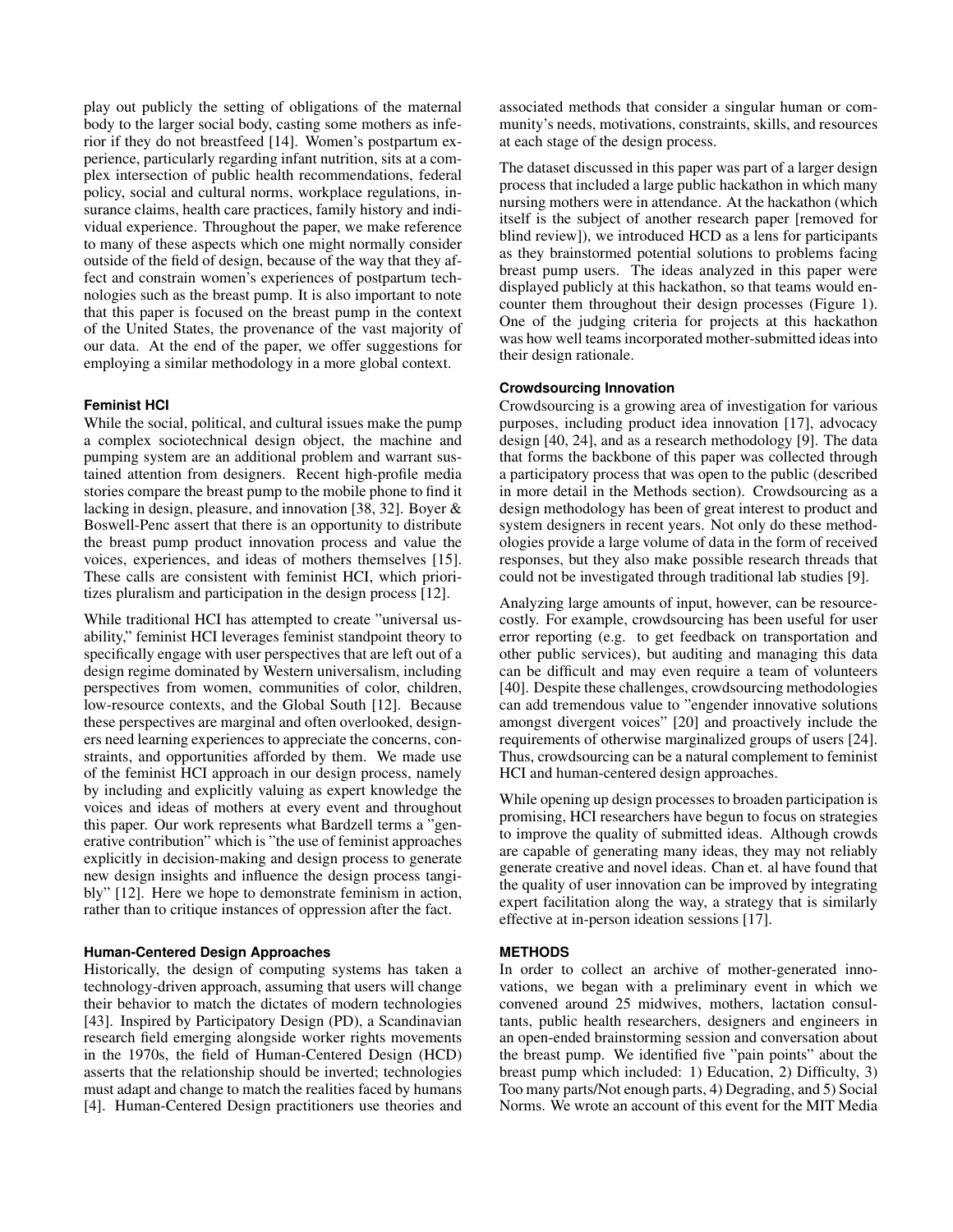play out publicly the setting of obligations of the maternal body to the larger social body, casting some mothers as inferior if they do not breastfeed [\[14\]](#page-9-11). Women's postpartum experience, particularly regarding infant nutrition, sits at a complex intersection of public health recommendations, federal policy, social and cultural norms, workplace regulations, insurance claims, health care practices, family history and individual experience. Throughout the paper, we make reference to many of these aspects which one might normally consider outside of the field of design, because of the way that they affect and constrain women's experiences of postpartum technologies such as the breast pump. It is also important to note that this paper is focused on the breast pump in the context of the United States, the provenance of the vast majority of our data. At the end of the paper, we offer suggestions for employing a similar methodology in a more global context.

## **Feminist HCI**

While the social, political, and cultural issues make the pump a complex sociotechnical design object, the machine and pumping system are an additional problem and warrant sustained attention from designers. Recent high-profile media stories compare the breast pump to the mobile phone to find it lacking in design, pleasure, and innovation [\[38,](#page-10-11) [32\]](#page-10-12). Boyer & Boswell-Penc assert that there is an opportunity to distribute the breast pump product innovation process and value the voices, experiences, and ideas of mothers themselves [\[15\]](#page-9-8). These calls are consistent with feminist HCI, which prioritizes pluralism and participation in the design process [\[12\]](#page-9-12).

While traditional HCI has attempted to create "universal usability," feminist HCI leverages feminist standpoint theory to specifically engage with user perspectives that are left out of a design regime dominated by Western universalism, including perspectives from women, communities of color, children, low-resource contexts, and the Global South [\[12\]](#page-9-12). Because these perspectives are marginal and often overlooked, designers need learning experiences to appreciate the concerns, constraints, and opportunities afforded by them. We made use of the feminist HCI approach in our design process, namely by including and explicitly valuing as expert knowledge the voices and ideas of mothers at every event and throughout this paper. Our work represents what Bardzell terms a "generative contribution" which is "the use of feminist approaches explicitly in decision-making and design process to generate new design insights and influence the design process tangibly" [\[12\]](#page-9-12). Here we hope to demonstrate feminism in action, rather than to critique instances of oppression after the fact.

### **Human-Centered Design Approaches**

Historically, the design of computing systems has taken a technology-driven approach, assuming that users will change their behavior to match the dictates of modern technologies [\[43\]](#page-10-13). Inspired by Participatory Design (PD), a Scandinavian research field emerging alongside worker rights movements in the 1970s, the field of Human-Centered Design (HCD) asserts that the relationship should be inverted; technologies must adapt and change to match the realities faced by humans [\[4\]](#page-9-13). Human-Centered Design practitioners use theories and

associated methods that consider a singular human or community's needs, motivations, constraints, skills, and resources at each stage of the design process.

The dataset discussed in this paper was part of a larger design process that included a large public hackathon in which many nursing mothers were in attendance. At the hackathon (which itself is the subject of another research paper [removed for blind review]), we introduced HCD as a lens for participants as they brainstormed potential solutions to problems facing breast pump users. The ideas analyzed in this paper were displayed publicly at this hackathon, so that teams would encounter them throughout their design processes (Figure [1\)](#page-3-0). One of the judging criteria for projects at this hackathon was how well teams incorporated mother-submitted ideas into their design rationale.

#### **Crowdsourcing Innovation**

Crowdsourcing is a growing area of investigation for various purposes, including product idea innovation [\[17\]](#page-9-14), advocacy design [\[40,](#page-10-14) [24\]](#page-10-15), and as a research methodology [\[9\]](#page-9-15). The data that forms the backbone of this paper was collected through a participatory process that was open to the public (described in more detail in the Methods section). Crowdsourcing as a design methodology has been of great interest to product and system designers in recent years. Not only do these methodologies provide a large volume of data in the form of received responses, but they also make possible research threads that could not be investigated through traditional lab studies [\[9\]](#page-9-15).

Analyzing large amounts of input, however, can be resourcecostly. For example, crowdsourcing has been useful for user error reporting (e.g. to get feedback on transportation and other public services), but auditing and managing this data can be difficult and may even require a team of volunteers [\[40\]](#page-10-14). Despite these challenges, crowdsourcing methodologies can add tremendous value to "engender innovative solutions amongst divergent voices" [\[20\]](#page-9-16) and proactively include the requirements of otherwise marginalized groups of users [\[24\]](#page-10-15). Thus, crowdsourcing can be a natural complement to feminist HCI and human-centered design approaches.

While opening up design processes to broaden participation is promising, HCI researchers have begun to focus on strategies to improve the quality of submitted ideas. Although crowds are capable of generating many ideas, they may not reliably generate creative and novel ideas. Chan et. al have found that the quality of user innovation can be improved by integrating expert facilitation along the way, a strategy that is similarly effective at in-person ideation sessions [\[17\]](#page-9-14).

#### **METHODS**

In order to collect an archive of mother-generated innovations, we began with a preliminary event in which we convened around 25 midwives, mothers, lactation consultants, public health researchers, designers and engineers in an open-ended brainstorming session and conversation about the breast pump. We identified five "pain points" about the breast pump which included: 1) Education, 2) Difficulty, 3) Too many parts/Not enough parts, 4) Degrading, and 5) Social Norms. We wrote an account of this event for the MIT Media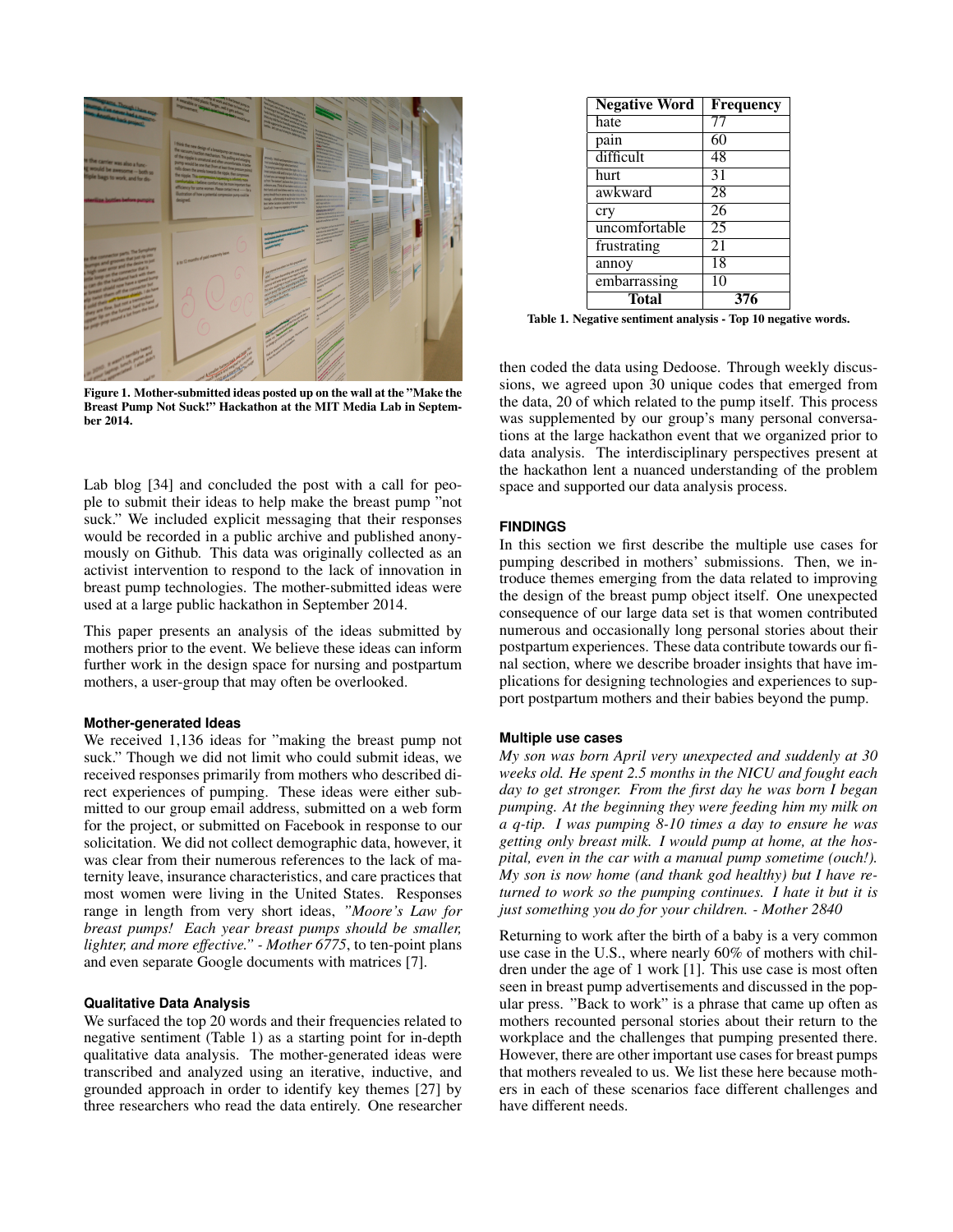

Figure 1. Mother-submitted ideas posted up on the wall at the "Make the Breast Pump Not Suck!" Hackathon at the MIT Media Lab in September 2014.

<span id="page-3-0"></span>Lab blog [\[34\]](#page-10-16) and concluded the post with a call for people to submit their ideas to help make the breast pump "not suck." We included explicit messaging that their responses would be recorded in a public archive and published anonymously on Github. This data was originally collected as an activist intervention to respond to the lack of innovation in breast pump technologies. The mother-submitted ideas were used at a large public hackathon in September 2014.

This paper presents an analysis of the ideas submitted by mothers prior to the event. We believe these ideas can inform further work in the design space for nursing and postpartum mothers, a user-group that may often be overlooked.

### **Mother-generated Ideas**

We received 1,136 ideas for "making the breast pump not suck." Though we did not limit who could submit ideas, we received responses primarily from mothers who described direct experiences of pumping. These ideas were either submitted to our group email address, submitted on a web form for the project, or submitted on Facebook in response to our solicitation. We did not collect demographic data, however, it was clear from their numerous references to the lack of maternity leave, insurance characteristics, and care practices that most women were living in the United States. Responses range in length from very short ideas, *"Moore's Law for breast pumps! Each year breast pumps should be smaller, lighter, and more effective." - Mother 6775*, to ten-point plans and even separate Google documents with matrices [\[7\]](#page-9-17).

## **Qualitative Data Analysis**

We surfaced the top 20 words and their frequencies related to negative sentiment (Table 1) as a starting point for in-depth qualitative data analysis. The mother-generated ideas were transcribed and analyzed using an iterative, inductive, and grounded approach in order to identify key themes [\[27\]](#page-10-17) by three researchers who read the data entirely. One researcher

| <b>Negative Word</b> | Frequency |
|----------------------|-----------|
| hate                 | 77        |
| pain                 | 60        |
| difficult            | 48        |
| hurt                 | 31        |
| awkward              | 28        |
| cry                  | 26        |
| uncomfortable        | 25        |
| frustrating          | 21        |
| annoy                | 18        |
| embarrassing         | 10        |
| Total                | 376       |

Table 1. Negative sentiment analysis - Top 10 negative words.

then coded the data using Dedoose. Through weekly discussions, we agreed upon 30 unique codes that emerged from the data, 20 of which related to the pump itself. This process was supplemented by our group's many personal conversations at the large hackathon event that we organized prior to data analysis. The interdisciplinary perspectives present at the hackathon lent a nuanced understanding of the problem space and supported our data analysis process.

#### **FINDINGS**

In this section we first describe the multiple use cases for pumping described in mothers' submissions. Then, we introduce themes emerging from the data related to improving the design of the breast pump object itself. One unexpected consequence of our large data set is that women contributed numerous and occasionally long personal stories about their postpartum experiences. These data contribute towards our final section, where we describe broader insights that have implications for designing technologies and experiences to support postpartum mothers and their babies beyond the pump.

#### **Multiple use cases**

*My son was born April very unexpected and suddenly at 30 weeks old. He spent 2.5 months in the NICU and fought each day to get stronger. From the first day he was born I began pumping. At the beginning they were feeding him my milk on a q-tip. I was pumping 8-10 times a day to ensure he was getting only breast milk. I would pump at home, at the hospital, even in the car with a manual pump sometime (ouch!). My son is now home (and thank god healthy) but I have returned to work so the pumping continues. I hate it but it is just something you do for your children. - Mother 2840*

Returning to work after the birth of a baby is a very common use case in the U.S., where nearly 60% of mothers with children under the age of 1 work [\[1\]](#page-9-10). This use case is most often seen in breast pump advertisements and discussed in the popular press. "Back to work" is a phrase that came up often as mothers recounted personal stories about their return to the workplace and the challenges that pumping presented there. However, there are other important use cases for breast pumps that mothers revealed to us. We list these here because mothers in each of these scenarios face different challenges and have different needs.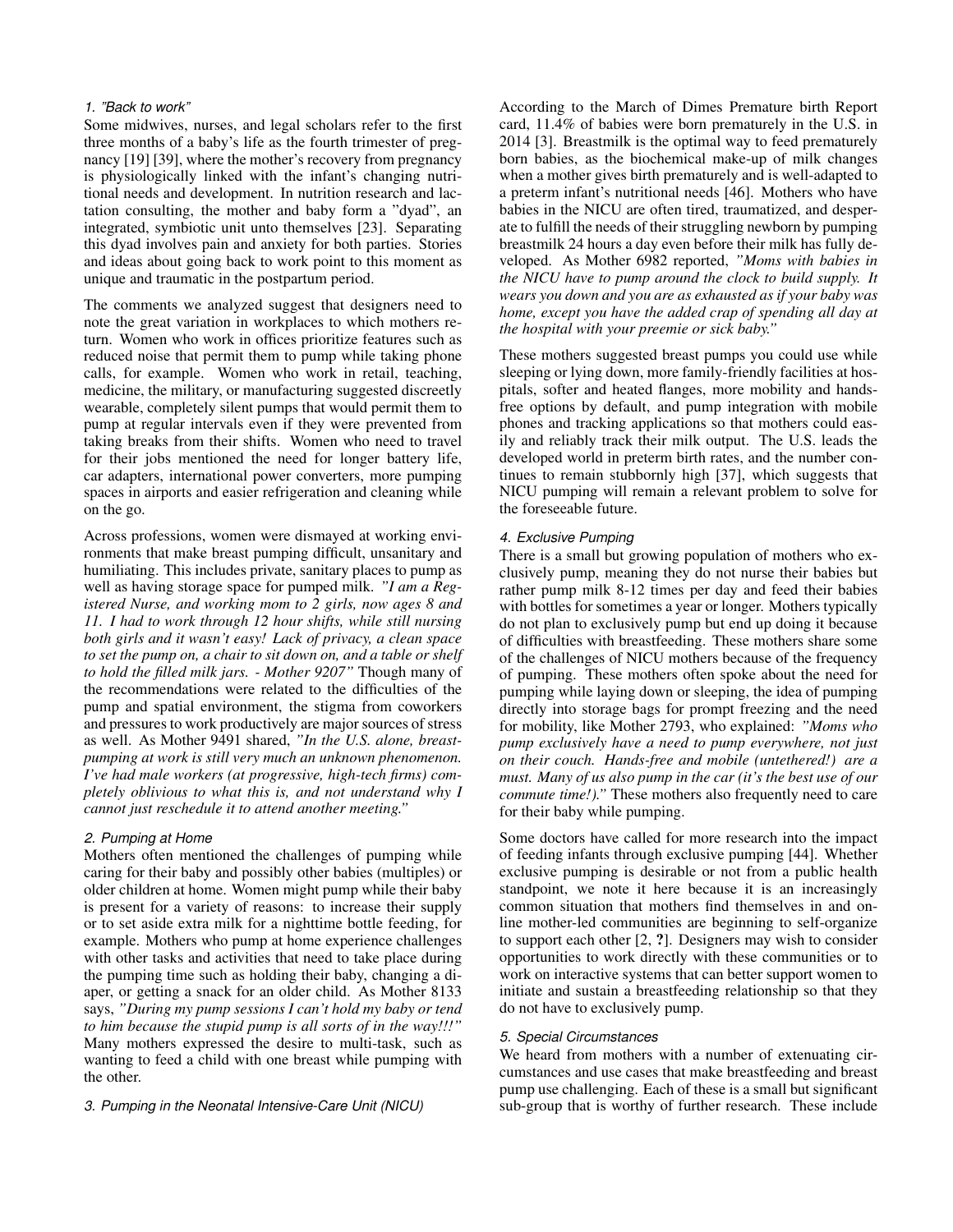## *1. "Back to work"*

Some midwives, nurses, and legal scholars refer to the first three months of a baby's life as the fourth trimester of pregnancy [\[19\]](#page-9-18) [\[39\]](#page-10-18), where the mother's recovery from pregnancy is physiologically linked with the infant's changing nutritional needs and development. In nutrition research and lactation consulting, the mother and baby form a "dyad", an integrated, symbiotic unit unto themselves [\[23\]](#page-9-19). Separating this dyad involves pain and anxiety for both parties. Stories and ideas about going back to work point to this moment as unique and traumatic in the postpartum period.

The comments we analyzed suggest that designers need to note the great variation in workplaces to which mothers return. Women who work in offices prioritize features such as reduced noise that permit them to pump while taking phone calls, for example. Women who work in retail, teaching, medicine, the military, or manufacturing suggested discreetly wearable, completely silent pumps that would permit them to pump at regular intervals even if they were prevented from taking breaks from their shifts. Women who need to travel for their jobs mentioned the need for longer battery life, car adapters, international power converters, more pumping spaces in airports and easier refrigeration and cleaning while on the go.

Across professions, women were dismayed at working environments that make breast pumping difficult, unsanitary and humiliating. This includes private, sanitary places to pump as well as having storage space for pumped milk. *"I am a Registered Nurse, and working mom to 2 girls, now ages 8 and 11. I had to work through 12 hour shifts, while still nursing both girls and it wasn't easy! Lack of privacy, a clean space to set the pump on, a chair to sit down on, and a table or shelf to hold the filled milk jars. - Mother 9207"* Though many of the recommendations were related to the difficulties of the pump and spatial environment, the stigma from coworkers and pressures to work productively are major sources of stress as well. As Mother 9491 shared, *"In the U.S. alone, breastpumping at work is still very much an unknown phenomenon. I've had male workers (at progressive, high-tech firms) completely oblivious to what this is, and not understand why I cannot just reschedule it to attend another meeting."*

### *2. Pumping at Home*

Mothers often mentioned the challenges of pumping while caring for their baby and possibly other babies (multiples) or older children at home. Women might pump while their baby is present for a variety of reasons: to increase their supply or to set aside extra milk for a nighttime bottle feeding, for example. Mothers who pump at home experience challenges with other tasks and activities that need to take place during the pumping time such as holding their baby, changing a diaper, or getting a snack for an older child. As Mother 8133 says, *"During my pump sessions I can't hold my baby or tend to him because the stupid pump is all sorts of in the way!!!"* Many mothers expressed the desire to multi-task, such as wanting to feed a child with one breast while pumping with the other.

*3. Pumping in the Neonatal Intensive-Care Unit (NICU)*

According to the March of Dimes Premature birth Report card, 11.4% of babies were born prematurely in the U.S. in 2014 [\[3\]](#page-9-20). Breastmilk is the optimal way to feed prematurely born babies, as the biochemical make-up of milk changes when a mother gives birth prematurely and is well-adapted to a preterm infant's nutritional needs [\[46\]](#page-10-19). Mothers who have babies in the NICU are often tired, traumatized, and desperate to fulfill the needs of their struggling newborn by pumping breastmilk 24 hours a day even before their milk has fully developed. As Mother 6982 reported, *"Moms with babies in the NICU have to pump around the clock to build supply. It wears you down and you are as exhausted as if your baby was home, except you have the added crap of spending all day at the hospital with your preemie or sick baby."*

These mothers suggested breast pumps you could use while sleeping or lying down, more family-friendly facilities at hospitals, softer and heated flanges, more mobility and handsfree options by default, and pump integration with mobile phones and tracking applications so that mothers could easily and reliably track their milk output. The U.S. leads the developed world in preterm birth rates, and the number continues to remain stubbornly high [\[37\]](#page-10-20), which suggests that NICU pumping will remain a relevant problem to solve for the foreseeable future.

#### *4. Exclusive Pumping*

There is a small but growing population of mothers who exclusively pump, meaning they do not nurse their babies but rather pump milk 8-12 times per day and feed their babies with bottles for sometimes a year or longer. Mothers typically do not plan to exclusively pump but end up doing it because of difficulties with breastfeeding. These mothers share some of the challenges of NICU mothers because of the frequency of pumping. These mothers often spoke about the need for pumping while laying down or sleeping, the idea of pumping directly into storage bags for prompt freezing and the need for mobility, like Mother 2793, who explained: *"Moms who pump exclusively have a need to pump everywhere, not just on their couch. Hands-free and mobile (untethered!) are a must. Many of us also pump in the car (it's the best use of our commute time!)."* These mothers also frequently need to care for their baby while pumping.

Some doctors have called for more research into the impact of feeding infants through exclusive pumping [\[44\]](#page-10-21). Whether exclusive pumping is desirable or not from a public health standpoint, we note it here because it is an increasingly common situation that mothers find themselves in and online mother-led communities are beginning to self-organize to support each other [\[2,](#page-9-21) ?]. Designers may wish to consider opportunities to work directly with these communities or to work on interactive systems that can better support women to initiate and sustain a breastfeeding relationship so that they do not have to exclusively pump.

#### *5. Special Circumstances*

We heard from mothers with a number of extenuating circumstances and use cases that make breastfeeding and breast pump use challenging. Each of these is a small but significant sub-group that is worthy of further research. These include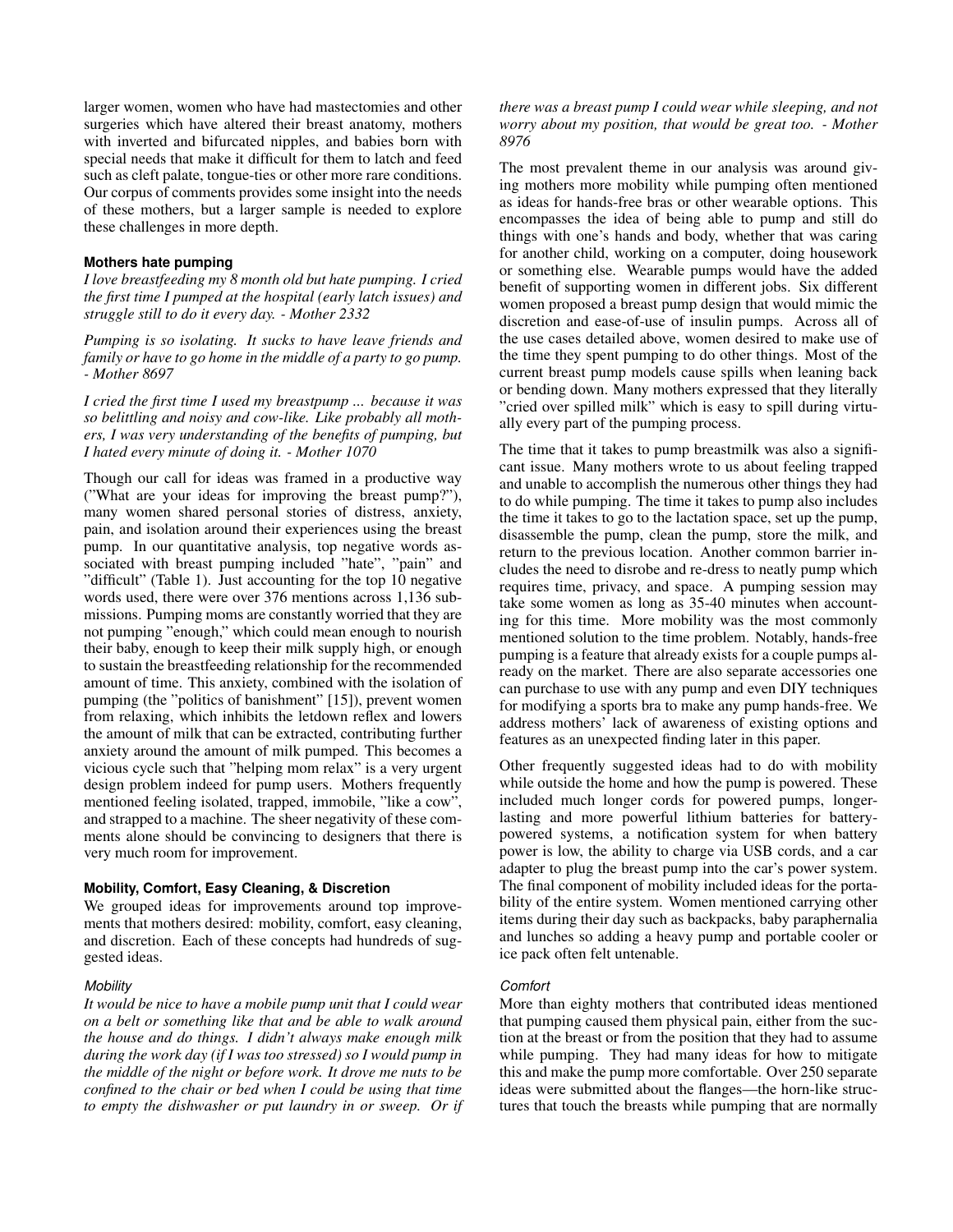larger women, women who have had mastectomies and other surgeries which have altered their breast anatomy, mothers with inverted and bifurcated nipples, and babies born with special needs that make it difficult for them to latch and feed such as cleft palate, tongue-ties or other more rare conditions. Our corpus of comments provides some insight into the needs of these mothers, but a larger sample is needed to explore these challenges in more depth.

#### **Mothers hate pumping**

*I love breastfeeding my 8 month old but hate pumping. I cried the first time I pumped at the hospital (early latch issues) and struggle still to do it every day. - Mother 2332*

*Pumping is so isolating. It sucks to have leave friends and family or have to go home in the middle of a party to go pump. - Mother 8697*

*I cried the first time I used my breastpump ... because it was so belittling and noisy and cow-like. Like probably all mothers, I was very understanding of the benefits of pumping, but I hated every minute of doing it. - Mother 1070*

Though our call for ideas was framed in a productive way ("What are your ideas for improving the breast pump?"), many women shared personal stories of distress, anxiety, pain, and isolation around their experiences using the breast pump. In our quantitative analysis, top negative words associated with breast pumping included "hate", "pain" and "difficult" (Table 1). Just accounting for the top 10 negative words used, there were over 376 mentions across 1,136 submissions. Pumping moms are constantly worried that they are not pumping "enough," which could mean enough to nourish their baby, enough to keep their milk supply high, or enough to sustain the breastfeeding relationship for the recommended amount of time. This anxiety, combined with the isolation of pumping (the "politics of banishment" [\[15\]](#page-9-8)), prevent women from relaxing, which inhibits the letdown reflex and lowers the amount of milk that can be extracted, contributing further anxiety around the amount of milk pumped. This becomes a vicious cycle such that "helping mom relax" is a very urgent design problem indeed for pump users. Mothers frequently mentioned feeling isolated, trapped, immobile, "like a cow", and strapped to a machine. The sheer negativity of these comments alone should be convincing to designers that there is very much room for improvement.

#### **Mobility, Comfort, Easy Cleaning, & Discretion**

We grouped ideas for improvements around top improvements that mothers desired: mobility, comfort, easy cleaning, and discretion. Each of these concepts had hundreds of suggested ideas.

#### *Mobility*

*It would be nice to have a mobile pump unit that I could wear on a belt or something like that and be able to walk around the house and do things. I didn't always make enough milk during the work day (if I was too stressed) so I would pump in the middle of the night or before work. It drove me nuts to be confined to the chair or bed when I could be using that time to empty the dishwasher or put laundry in or sweep. Or if* *there was a breast pump I could wear while sleeping, and not worry about my position, that would be great too. - Mother 8976*

The most prevalent theme in our analysis was around giving mothers more mobility while pumping often mentioned as ideas for hands-free bras or other wearable options. This encompasses the idea of being able to pump and still do things with one's hands and body, whether that was caring for another child, working on a computer, doing housework or something else. Wearable pumps would have the added benefit of supporting women in different jobs. Six different women proposed a breast pump design that would mimic the discretion and ease-of-use of insulin pumps. Across all of the use cases detailed above, women desired to make use of the time they spent pumping to do other things. Most of the current breast pump models cause spills when leaning back or bending down. Many mothers expressed that they literally "cried over spilled milk" which is easy to spill during virtually every part of the pumping process.

The time that it takes to pump breastmilk was also a significant issue. Many mothers wrote to us about feeling trapped and unable to accomplish the numerous other things they had to do while pumping. The time it takes to pump also includes the time it takes to go to the lactation space, set up the pump, disassemble the pump, clean the pump, store the milk, and return to the previous location. Another common barrier includes the need to disrobe and re-dress to neatly pump which requires time, privacy, and space. A pumping session may take some women as long as 35-40 minutes when accounting for this time. More mobility was the most commonly mentioned solution to the time problem. Notably, hands-free pumping is a feature that already exists for a couple pumps already on the market. There are also separate accessories one can purchase to use with any pump and even DIY techniques for modifying a sports bra to make any pump hands-free. We address mothers' lack of awareness of existing options and features as an unexpected finding later in this paper.

Other frequently suggested ideas had to do with mobility while outside the home and how the pump is powered. These included much longer cords for powered pumps, longerlasting and more powerful lithium batteries for batterypowered systems, a notification system for when battery power is low, the ability to charge via USB cords, and a car adapter to plug the breast pump into the car's power system. The final component of mobility included ideas for the portability of the entire system. Women mentioned carrying other items during their day such as backpacks, baby paraphernalia and lunches so adding a heavy pump and portable cooler or ice pack often felt untenable.

#### *Comfort*

More than eighty mothers that contributed ideas mentioned that pumping caused them physical pain, either from the suction at the breast or from the position that they had to assume while pumping. They had many ideas for how to mitigate this and make the pump more comfortable. Over 250 separate ideas were submitted about the flanges—the horn-like structures that touch the breasts while pumping that are normally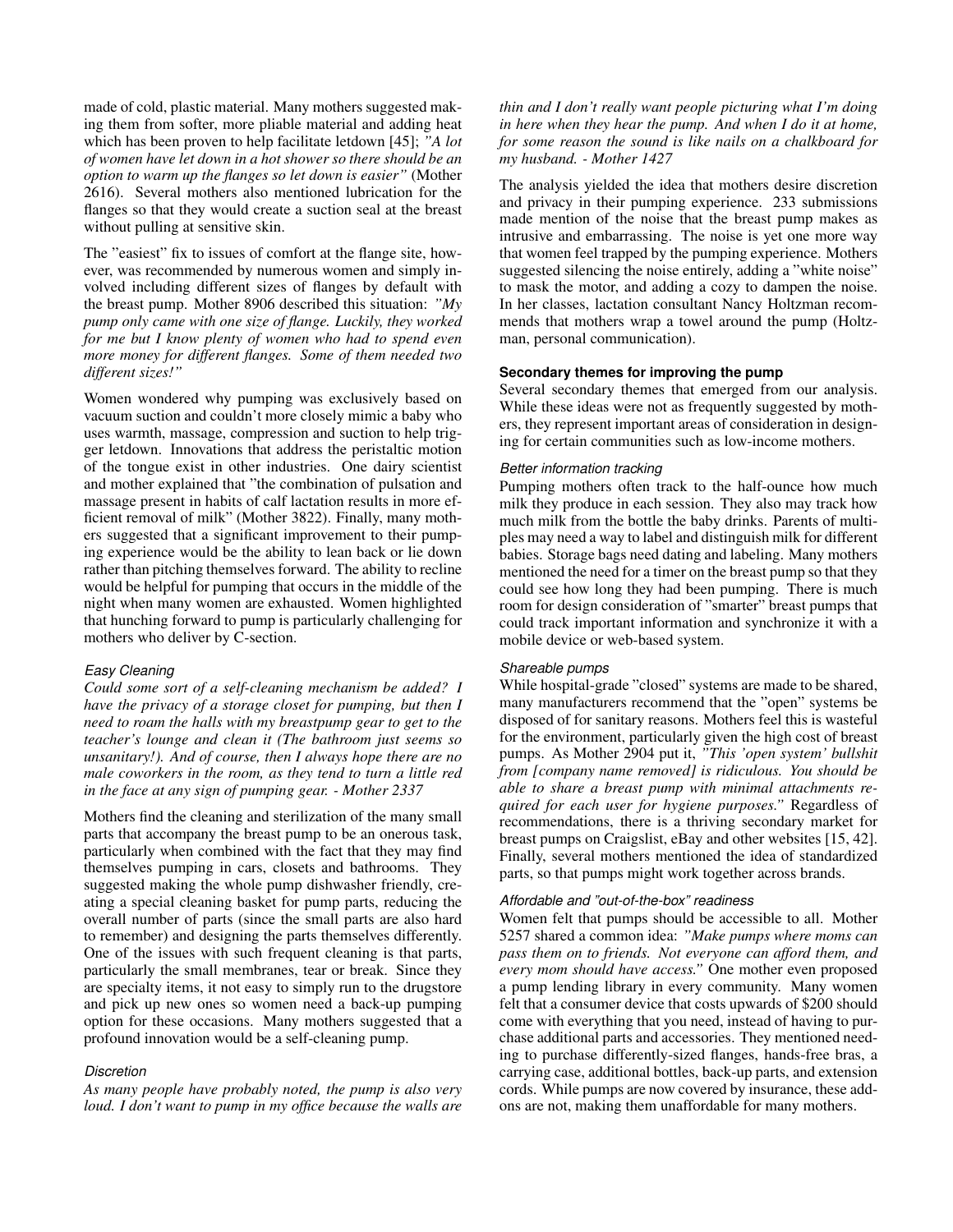made of cold, plastic material. Many mothers suggested making them from softer, more pliable material and adding heat which has been proven to help facilitate letdown [\[45\]](#page-10-22); *"A lot of women have let down in a hot shower so there should be an option to warm up the flanges so let down is easier"* (Mother 2616). Several mothers also mentioned lubrication for the flanges so that they would create a suction seal at the breast without pulling at sensitive skin.

The "easiest" fix to issues of comfort at the flange site, however, was recommended by numerous women and simply involved including different sizes of flanges by default with the breast pump. Mother 8906 described this situation: *"My pump only came with one size of flange. Luckily, they worked for me but I know plenty of women who had to spend even more money for different flanges. Some of them needed two different sizes!"*

Women wondered why pumping was exclusively based on vacuum suction and couldn't more closely mimic a baby who uses warmth, massage, compression and suction to help trigger letdown. Innovations that address the peristaltic motion of the tongue exist in other industries. One dairy scientist and mother explained that "the combination of pulsation and massage present in habits of calf lactation results in more efficient removal of milk" (Mother 3822). Finally, many mothers suggested that a significant improvement to their pumping experience would be the ability to lean back or lie down rather than pitching themselves forward. The ability to recline would be helpful for pumping that occurs in the middle of the night when many women are exhausted. Women highlighted that hunching forward to pump is particularly challenging for mothers who deliver by C-section.

## *Easy Cleaning*

*Could some sort of a self-cleaning mechanism be added? I have the privacy of a storage closet for pumping, but then I need to roam the halls with my breastpump gear to get to the teacher's lounge and clean it (The bathroom just seems so unsanitary!). And of course, then I always hope there are no male coworkers in the room, as they tend to turn a little red in the face at any sign of pumping gear. - Mother 2337*

Mothers find the cleaning and sterilization of the many small parts that accompany the breast pump to be an onerous task, particularly when combined with the fact that they may find themselves pumping in cars, closets and bathrooms. They suggested making the whole pump dishwasher friendly, creating a special cleaning basket for pump parts, reducing the overall number of parts (since the small parts are also hard to remember) and designing the parts themselves differently. One of the issues with such frequent cleaning is that parts, particularly the small membranes, tear or break. Since they are specialty items, it not easy to simply run to the drugstore and pick up new ones so women need a back-up pumping option for these occasions. Many mothers suggested that a profound innovation would be a self-cleaning pump.

## *Discretion*

*As many people have probably noted, the pump is also very loud. I don't want to pump in my office because the walls are*

*thin and I don't really want people picturing what I'm doing in here when they hear the pump. And when I do it at home, for some reason the sound is like nails on a chalkboard for my husband. - Mother 1427*

The analysis yielded the idea that mothers desire discretion and privacy in their pumping experience. 233 submissions made mention of the noise that the breast pump makes as intrusive and embarrassing. The noise is yet one more way that women feel trapped by the pumping experience. Mothers suggested silencing the noise entirely, adding a "white noise" to mask the motor, and adding a cozy to dampen the noise. In her classes, lactation consultant Nancy Holtzman recommends that mothers wrap a towel around the pump (Holtzman, personal communication).

#### **Secondary themes for improving the pump**

Several secondary themes that emerged from our analysis. While these ideas were not as frequently suggested by mothers, they represent important areas of consideration in designing for certain communities such as low-income mothers.

#### *Better information tracking*

Pumping mothers often track to the half-ounce how much milk they produce in each session. They also may track how much milk from the bottle the baby drinks. Parents of multiples may need a way to label and distinguish milk for different babies. Storage bags need dating and labeling. Many mothers mentioned the need for a timer on the breast pump so that they could see how long they had been pumping. There is much room for design consideration of "smarter" breast pumps that could track important information and synchronize it with a mobile device or web-based system.

## *Shareable pumps*

While hospital-grade "closed" systems are made to be shared, many manufacturers recommend that the "open" systems be disposed of for sanitary reasons. Mothers feel this is wasteful for the environment, particularly given the high cost of breast pumps. As Mother 2904 put it, *"This 'open system' bullshit from [company name removed] is ridiculous. You should be able to share a breast pump with minimal attachments required for each user for hygiene purposes."* Regardless of recommendations, there is a thriving secondary market for breast pumps on Craigslist, eBay and other websites [\[15,](#page-9-8) [42\]](#page-10-23). Finally, several mothers mentioned the idea of standardized parts, so that pumps might work together across brands.

## *Affordable and "out-of-the-box" readiness*

Women felt that pumps should be accessible to all. Mother 5257 shared a common idea: *"Make pumps where moms can pass them on to friends. Not everyone can afford them, and every mom should have access."* One mother even proposed a pump lending library in every community. Many women felt that a consumer device that costs upwards of \$200 should come with everything that you need, instead of having to purchase additional parts and accessories. They mentioned needing to purchase differently-sized flanges, hands-free bras, a carrying case, additional bottles, back-up parts, and extension cords. While pumps are now covered by insurance, these addons are not, making them unaffordable for many mothers.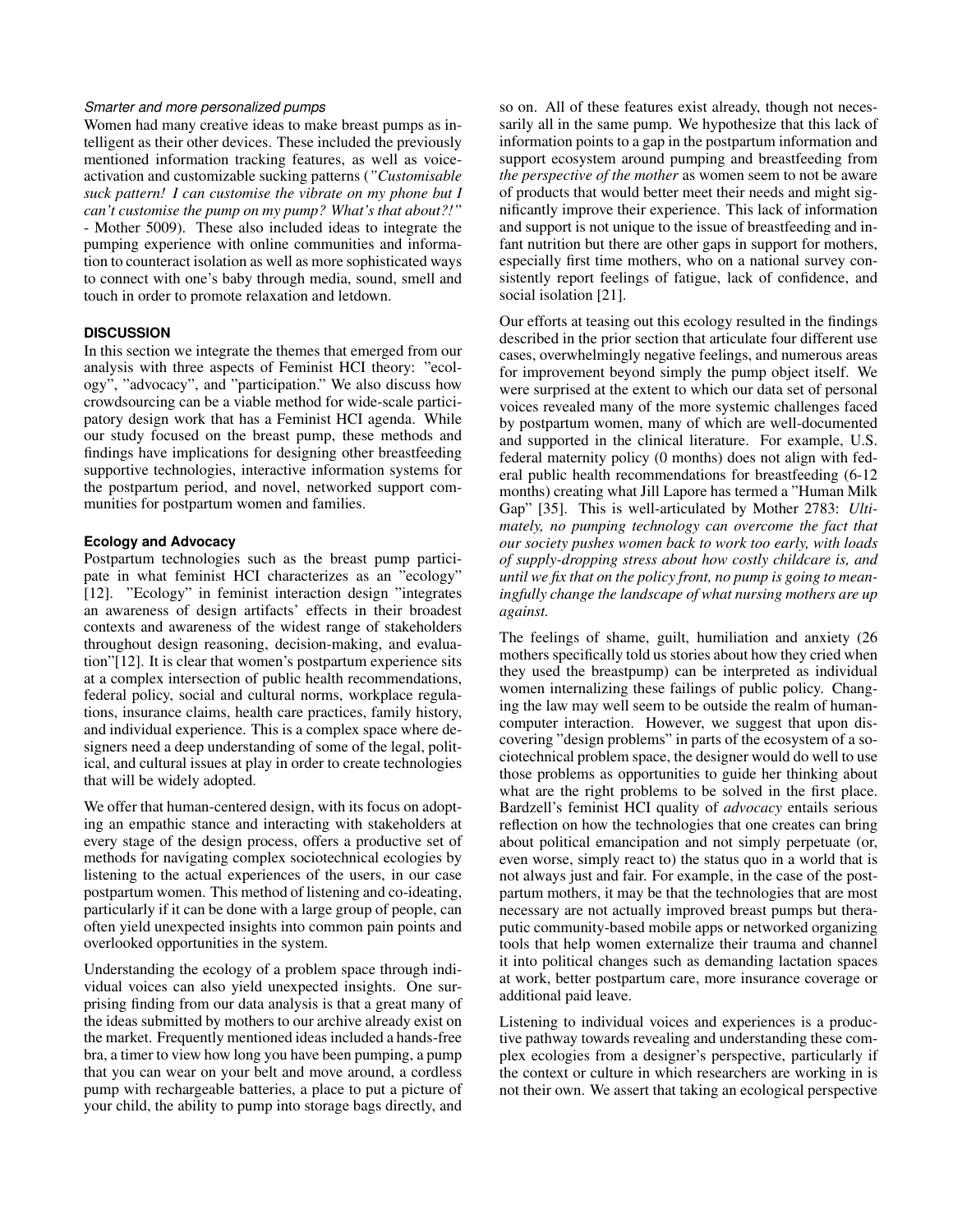#### *Smarter and more personalized pumps*

Women had many creative ideas to make breast pumps as intelligent as their other devices. These included the previously mentioned information tracking features, as well as voiceactivation and customizable sucking patterns (*"Customisable suck pattern! I can customise the vibrate on my phone but I can't customise the pump on my pump? What's that about?!"* - Mother 5009). These also included ideas to integrate the pumping experience with online communities and information to counteract isolation as well as more sophisticated ways to connect with one's baby through media, sound, smell and touch in order to promote relaxation and letdown.

# **DISCUSSION**

In this section we integrate the themes that emerged from our analysis with three aspects of Feminist HCI theory: "ecology", "advocacy", and "participation." We also discuss how crowdsourcing can be a viable method for wide-scale participatory design work that has a Feminist HCI agenda. While our study focused on the breast pump, these methods and findings have implications for designing other breastfeeding supportive technologies, interactive information systems for the postpartum period, and novel, networked support communities for postpartum women and families.

#### **Ecology and Advocacy**

Postpartum technologies such as the breast pump participate in what feminist HCI characterizes as an "ecology" [\[12\]](#page-9-12). "Ecology" in feminist interaction design "integrates an awareness of design artifacts' effects in their broadest contexts and awareness of the widest range of stakeholders throughout design reasoning, decision-making, and evaluation"[\[12\]](#page-9-12). It is clear that women's postpartum experience sits at a complex intersection of public health recommendations, federal policy, social and cultural norms, workplace regulations, insurance claims, health care practices, family history, and individual experience. This is a complex space where designers need a deep understanding of some of the legal, political, and cultural issues at play in order to create technologies that will be widely adopted.

We offer that human-centered design, with its focus on adopting an empathic stance and interacting with stakeholders at every stage of the design process, offers a productive set of methods for navigating complex sociotechnical ecologies by listening to the actual experiences of the users, in our case postpartum women. This method of listening and co-ideating, particularly if it can be done with a large group of people, can often yield unexpected insights into common pain points and overlooked opportunities in the system.

Understanding the ecology of a problem space through individual voices can also yield unexpected insights. One surprising finding from our data analysis is that a great many of the ideas submitted by mothers to our archive already exist on the market. Frequently mentioned ideas included a hands-free bra, a timer to view how long you have been pumping, a pump that you can wear on your belt and move around, a cordless pump with rechargeable batteries, a place to put a picture of your child, the ability to pump into storage bags directly, and

so on. All of these features exist already, though not necessarily all in the same pump. We hypothesize that this lack of information points to a gap in the postpartum information and support ecosystem around pumping and breastfeeding from *the perspective of the mother* as women seem to not be aware of products that would better meet their needs and might significantly improve their experience. This lack of information and support is not unique to the issue of breastfeeding and infant nutrition but there are other gaps in support for mothers, especially first time mothers, who on a national survey consistently report feelings of fatigue, lack of confidence, and social isolation [\[21\]](#page-9-22).

Our efforts at teasing out this ecology resulted in the findings described in the prior section that articulate four different use cases, overwhelmingly negative feelings, and numerous areas for improvement beyond simply the pump object itself. We were surprised at the extent to which our data set of personal voices revealed many of the more systemic challenges faced by postpartum women, many of which are well-documented and supported in the clinical literature. For example, U.S. federal maternity policy (0 months) does not align with federal public health recommendations for breastfeeding (6-12 months) creating what Jill Lapore has termed a "Human Milk Gap" [\[35\]](#page-10-24). This is well-articulated by Mother 2783: *Ultimately, no pumping technology can overcome the fact that our society pushes women back to work too early, with loads of supply-dropping stress about how costly childcare is, and until we fix that on the policy front, no pump is going to meaningfully change the landscape of what nursing mothers are up against.*

The feelings of shame, guilt, humiliation and anxiety (26 mothers specifically told us stories about how they cried when they used the breastpump) can be interpreted as individual women internalizing these failings of public policy. Changing the law may well seem to be outside the realm of humancomputer interaction. However, we suggest that upon discovering "design problems" in parts of the ecosystem of a sociotechnical problem space, the designer would do well to use those problems as opportunities to guide her thinking about what are the right problems to be solved in the first place. Bardzell's feminist HCI quality of *advocacy* entails serious reflection on how the technologies that one creates can bring about political emancipation and not simply perpetuate (or, even worse, simply react to) the status quo in a world that is not always just and fair. For example, in the case of the postpartum mothers, it may be that the technologies that are most necessary are not actually improved breast pumps but theraputic community-based mobile apps or networked organizing tools that help women externalize their trauma and channel it into political changes such as demanding lactation spaces at work, better postpartum care, more insurance coverage or additional paid leave.

Listening to individual voices and experiences is a productive pathway towards revealing and understanding these complex ecologies from a designer's perspective, particularly if the context or culture in which researchers are working in is not their own. We assert that taking an ecological perspective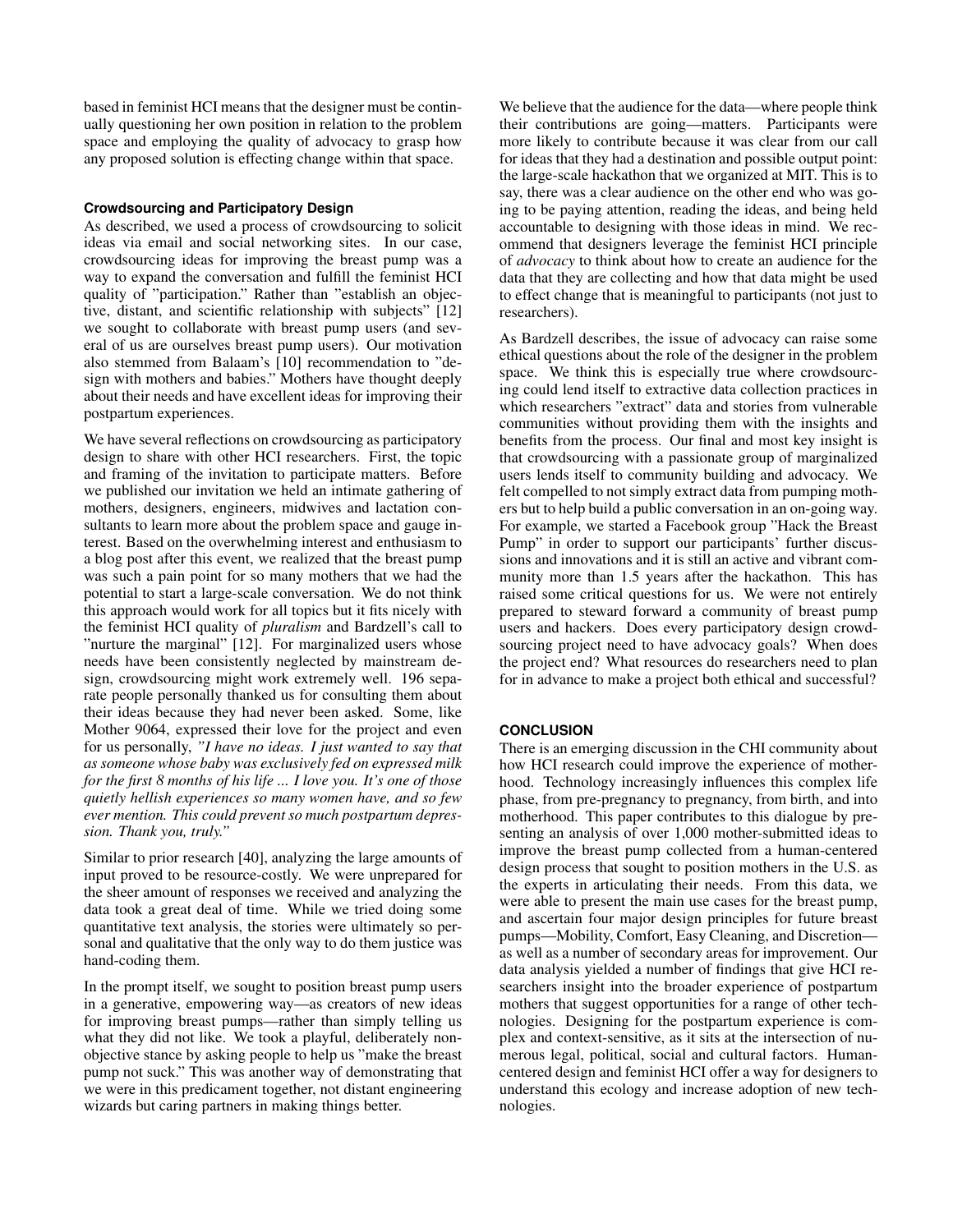based in feminist HCI means that the designer must be continually questioning her own position in relation to the problem space and employing the quality of advocacy to grasp how any proposed solution is effecting change within that space.

## **Crowdsourcing and Participatory Design**

As described, we used a process of crowdsourcing to solicit ideas via email and social networking sites. In our case, crowdsourcing ideas for improving the breast pump was a way to expand the conversation and fulfill the feminist HCI quality of "participation." Rather than "establish an objective, distant, and scientific relationship with subjects" [\[12\]](#page-9-12) we sought to collaborate with breast pump users (and several of us are ourselves breast pump users). Our motivation also stemmed from Balaam's [\[10\]](#page-9-5) recommendation to "design with mothers and babies." Mothers have thought deeply about their needs and have excellent ideas for improving their postpartum experiences.

We have several reflections on crowdsourcing as participatory design to share with other HCI researchers. First, the topic and framing of the invitation to participate matters. Before we published our invitation we held an intimate gathering of mothers, designers, engineers, midwives and lactation consultants to learn more about the problem space and gauge interest. Based on the overwhelming interest and enthusiasm to a blog post after this event, we realized that the breast pump was such a pain point for so many mothers that we had the potential to start a large-scale conversation. We do not think this approach would work for all topics but it fits nicely with the feminist HCI quality of *pluralism* and Bardzell's call to "nurture the marginal" [\[12\]](#page-9-12). For marginalized users whose needs have been consistently neglected by mainstream design, crowdsourcing might work extremely well. 196 separate people personally thanked us for consulting them about their ideas because they had never been asked. Some, like Mother 9064, expressed their love for the project and even for us personally, *"I have no ideas. I just wanted to say that as someone whose baby was exclusively fed on expressed milk for the first 8 months of his life ... I love you. It's one of those quietly hellish experiences so many women have, and so few ever mention. This could prevent so much postpartum depression. Thank you, truly."*

Similar to prior research [\[40\]](#page-10-14), analyzing the large amounts of input proved to be resource-costly. We were unprepared for the sheer amount of responses we received and analyzing the data took a great deal of time. While we tried doing some quantitative text analysis, the stories were ultimately so personal and qualitative that the only way to do them justice was hand-coding them.

In the prompt itself, we sought to position breast pump users in a generative, empowering way—as creators of new ideas for improving breast pumps—rather than simply telling us what they did not like. We took a playful, deliberately nonobjective stance by asking people to help us "make the breast pump not suck." This was another way of demonstrating that we were in this predicament together, not distant engineering wizards but caring partners in making things better.

We believe that the audience for the data—where people think their contributions are going—matters. Participants were more likely to contribute because it was clear from our call for ideas that they had a destination and possible output point: the large-scale hackathon that we organized at MIT. This is to say, there was a clear audience on the other end who was going to be paying attention, reading the ideas, and being held accountable to designing with those ideas in mind. We recommend that designers leverage the feminist HCI principle of *advocacy* to think about how to create an audience for the data that they are collecting and how that data might be used to effect change that is meaningful to participants (not just to researchers).

As Bardzell describes, the issue of advocacy can raise some ethical questions about the role of the designer in the problem space. We think this is especially true where crowdsourcing could lend itself to extractive data collection practices in which researchers "extract" data and stories from vulnerable communities without providing them with the insights and benefits from the process. Our final and most key insight is that crowdsourcing with a passionate group of marginalized users lends itself to community building and advocacy. We felt compelled to not simply extract data from pumping mothers but to help build a public conversation in an on-going way. For example, we started a Facebook group "Hack the Breast Pump" in order to support our participants' further discussions and innovations and it is still an active and vibrant community more than 1.5 years after the hackathon. This has raised some critical questions for us. We were not entirely prepared to steward forward a community of breast pump users and hackers. Does every participatory design crowdsourcing project need to have advocacy goals? When does the project end? What resources do researchers need to plan for in advance to make a project both ethical and successful?

# **CONCLUSION**

There is an emerging discussion in the CHI community about how HCI research could improve the experience of motherhood. Technology increasingly influences this complex life phase, from pre-pregnancy to pregnancy, from birth, and into motherhood. This paper contributes to this dialogue by presenting an analysis of over 1,000 mother-submitted ideas to improve the breast pump collected from a human-centered design process that sought to position mothers in the U.S. as the experts in articulating their needs. From this data, we were able to present the main use cases for the breast pump, and ascertain four major design principles for future breast pumps—Mobility, Comfort, Easy Cleaning, and Discretion as well as a number of secondary areas for improvement. Our data analysis yielded a number of findings that give HCI researchers insight into the broader experience of postpartum mothers that suggest opportunities for a range of other technologies. Designing for the postpartum experience is complex and context-sensitive, as it sits at the intersection of numerous legal, political, social and cultural factors. Humancentered design and feminist HCI offer a way for designers to understand this ecology and increase adoption of new technologies.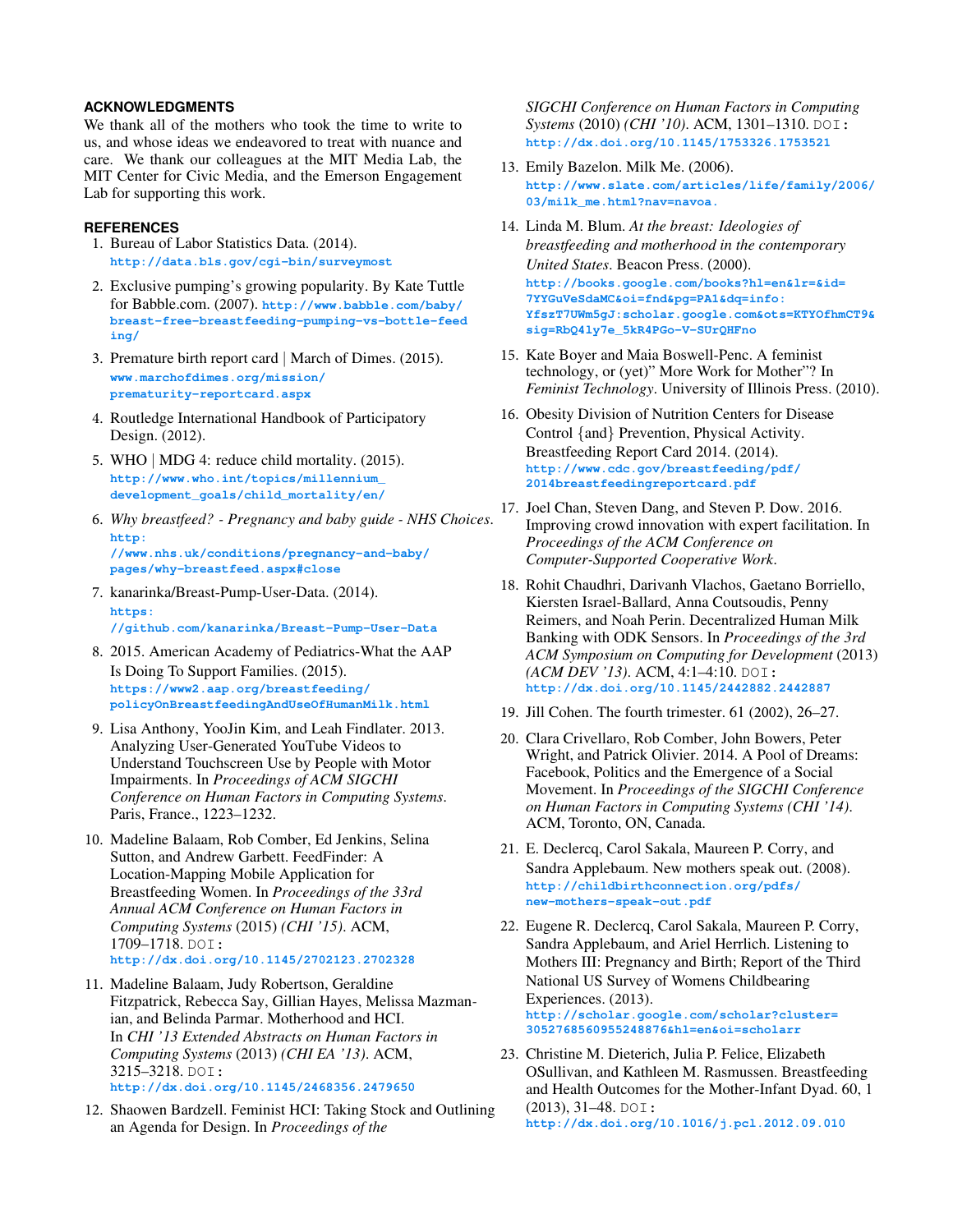## **ACKNOWLEDGMENTS**

We thank all of the mothers who took the time to write to us, and whose ideas we endeavored to treat with nuance and care. We thank our colleagues at the MIT Media Lab, the MIT Center for Civic Media, and the Emerson Engagement Lab for supporting this work.

## <span id="page-9-10"></span>**REFERENCES**

- 1. Bureau of Labor Statistics Data. (2014). **<http://data.bls.gov/cgi-bin/surveymost>**
- <span id="page-9-21"></span>2. Exclusive pumping's growing popularity. By Kate Tuttle for Babble.com. (2007). **[http://www.babble.com/baby/](http://www.babble.com/baby/breast-free-breastfeeding-pumping-vs-bottle-feeding/) [breast-free-breastfeeding-pumping-vs-bottle-feed](http://www.babble.com/baby/breast-free-breastfeeding-pumping-vs-bottle-feeding/) ing/**
- <span id="page-9-20"></span>3. [Premature](http://www.marchofdimes.org/mission/prematurity-reportcard.aspx) birth report card | March of Dimes. (2015). **[www.marchofdimes.org/mission](http://www.marchofdimes.org/mission/prematurity-reportcard.aspx)/ prematurity-reportcard.aspx**
- <span id="page-9-13"></span>4. Routledge International Handbook of Participatory Design. (2012).
- <span id="page-9-2"></span>5. WHO | MDG 4: reduce child mortality. (2015). **[http://www.who.int/topics/millennium\\_](http://www.who.int/topics/millennium_development_goals/child_mortality/en/) development\_goals/child\_mortality/en/**
- <span id="page-9-4"></span>6. *Why breastfeed? - [Pregnancy](http://www.nhs.uk/conditions/pregnancy-and-baby/pages/why-breastfeed.aspx##close) and baby guide - NHS Choices*. **http: [//www.nhs.uk/conditions/pregnancy-and-baby/](http://www.nhs.uk/conditions/pregnancy-and-baby/pages/why-breastfeed.aspx##close)**

<span id="page-9-17"></span>**[pages/why-breastfeed.aspx#close](http://www.nhs.uk/conditions/pregnancy-and-baby/pages/why-breastfeed.aspx##close)** 7. [kanarinka/Breast-Pump-User-Data.](https://github.com/kanarinka/Breast-Pump-User-Data) (2014).

- **https: [//github.com/kanarinka/Breast-Pump-User-Data](https://github.com/kanarinka/Breast-Pump-User-Data)**
- <span id="page-9-3"></span>8. 2015. American Academy of Pediatrics-What the AAP Is Doing To Support Families. (2015). **[https://www2.aap.org/breastfeeding/](https://www2.aap.org/breastfeeding/policyOnBreastfeedingAndUseOfHumanMilk.html) [policyOnBreastfeedingAndUseOfHumanMilk.html](https://www2.aap.org/breastfeeding/policyOnBreastfeedingAndUseOfHumanMilk.html)**
- <span id="page-9-15"></span>9. Lisa Anthony, YooJin Kim, and Leah Findlater. 2013. Analyzing User-Generated YouTube Videos to Understand Touchscreen Use by People with Motor Impairments. In *Proceedings of ACM SIGCHI Conference on Human Factors in Computing Systems*. Paris, France., 1223–1232.
- <span id="page-9-5"></span>10. Madeline Balaam, Rob Comber, Ed Jenkins, Selina Sutton, and Andrew Garbett. FeedFinder: A Location-Mapping Mobile Application for Breastfeeding Women. In *Proceedings of the 33rd Annual ACM Conference on Human Factors in Computing Systems* (2015) *(CHI '15)*. ACM, 1709–1718. DOI: **<http://dx.doi.org/10.1145/2702123.2702328>**
- <span id="page-9-7"></span>11. Madeline Balaam, Judy Robertson, Geraldine Fitzpatrick, Rebecca Say, Gillian Hayes, Melissa Mazmanian, and Belinda Parmar. Motherhood and HCI. In *CHI '13 Extended Abstracts on Human Factors in Computing Systems* (2013) *(CHI EA '13)*. ACM, 3215–3218. DOI: **<http://dx.doi.org/10.1145/2468356.2479650>**
- <span id="page-9-12"></span>12. Shaowen Bardzell. Feminist HCI: Taking Stock and Outlining an Agenda for Design. In *Proceedings of the*

*SIGCHI Conference on Human Factors in Computing Systems* (2010) *(CHI '10)*. ACM, 1301–1310. DOI: **<http://dx.doi.org/10.1145/1753326.1753521>**

- <span id="page-9-9"></span>13. Emily Bazelon. Milk Me. (2006). **[http://www.slate.com/articles/life/family/2006/](http://www.slate.com/articles/life/family/2006/03/milk_me.html?nav=navoa.) [03/milk\\_me.html?nav=navoa.](http://www.slate.com/articles/life/family/2006/03/milk_me.html?nav=navoa.)**
- <span id="page-9-11"></span>14. Linda M. Blum. *At the breast: Ideologies of breastfeeding and motherhood in the contemporary United States*. Beacon Press. (2000). **[http://books.google.com/books?hl=en&lr=&id=](http://books.google.com/books?hl=en&lr=&id=7YYGuVeSdaMC&oi=fnd&pg=PA1&dq=info:YfszT7UWm5gJ:scholar.google.com&ots=KTYOfhmCT9&sig=RbQ4ly7e_5kR4PGo-V-SUrQHFno) [7YYGuVeSdaMC&oi=fnd&pg=PA1&dq=info:](http://books.google.com/books?hl=en&lr=&id=7YYGuVeSdaMC&oi=fnd&pg=PA1&dq=info:YfszT7UWm5gJ:scholar.google.com&ots=KTYOfhmCT9&sig=RbQ4ly7e_5kR4PGo-V-SUrQHFno) [YfszT7UWm5gJ:scholar.google.com&ots=KTYOfhmCT9&](http://books.google.com/books?hl=en&lr=&id=7YYGuVeSdaMC&oi=fnd&pg=PA1&dq=info:YfszT7UWm5gJ:scholar.google.com&ots=KTYOfhmCT9&sig=RbQ4ly7e_5kR4PGo-V-SUrQHFno) [sig=RbQ4ly7e\\_5kR4PGo-V-SUrQHFno](http://books.google.com/books?hl=en&lr=&id=7YYGuVeSdaMC&oi=fnd&pg=PA1&dq=info:YfszT7UWm5gJ:scholar.google.com&ots=KTYOfhmCT9&sig=RbQ4ly7e_5kR4PGo-V-SUrQHFno)**
- <span id="page-9-8"></span>15. Kate Boyer and Maia Boswell-Penc. A feminist technology, or (yet)" More Work for Mother"? In *Feminist Technology*. University of Illinois Press. (2010).
- <span id="page-9-1"></span>16. Obesity Division of Nutrition Centers for Disease Control {and} Prevention, Physical Activity. Breastfeeding Report Card 2014. (2014). **[http://www.cdc.gov/breastfeeding/pdf/](http://www.cdc.gov/breastfeeding/pdf/2014breastfeedingreportcard.pdf) [2014breastfeedingreportcard.pdf](http://www.cdc.gov/breastfeeding/pdf/2014breastfeedingreportcard.pdf)**
- <span id="page-9-14"></span>17. Joel Chan, Steven Dang, and Steven P. Dow. 2016. Improving crowd innovation with expert facilitation. In *Proceedings of the ACM Conference on Computer-Supported Cooperative Work*.
- <span id="page-9-6"></span>18. Rohit Chaudhri, Darivanh Vlachos, Gaetano Borriello, Kiersten Israel-Ballard, Anna Coutsoudis, Penny Reimers, and Noah Perin. Decentralized Human Milk Banking with ODK Sensors. In *Proceedings of the 3rd ACM Symposium on Computing for Development* (2013) *(ACM DEV '13)*. ACM, 4:1–4:10. DOI: **<http://dx.doi.org/10.1145/2442882.2442887>**
- <span id="page-9-18"></span>19. Jill Cohen. The fourth trimester. 61 (2002), 26–27.
- <span id="page-9-16"></span>20. Clara Crivellaro, Rob Comber, John Bowers, Peter Wright, and Patrick Olivier. 2014. A Pool of Dreams: Facebook, Politics and the Emergence of a Social Movement. In *Proceedings of the SIGCHI Conference on Human Factors in Computing Systems (CHI '14)*. ACM, Toronto, ON, Canada.
- <span id="page-9-22"></span>21. E. Declercq, Carol Sakala, Maureen P. Corry, and Sandra Applebaum. New mothers speak out. (2008). **[http://childbirthconnection.org/pdfs/](http://childbirthconnection.org/pdfs/new-mothers-speak-out.pdf) [new-mothers-speak-out.pdf](http://childbirthconnection.org/pdfs/new-mothers-speak-out.pdf)**
- <span id="page-9-0"></span>22. Eugene R. Declercq, Carol Sakala, Maureen P. Corry, Sandra Applebaum, and Ariel Herrlich. Listening to Mothers III: Pregnancy and Birth; Report of the Third National US Survey of Womens Childbearing Experiences. (2013). **[http://scholar.google.com/scholar?cluster=](http://scholar.google.com/scholar?cluster=3052768560955248876&hl=en&oi=scholarr) [3052768560955248876&hl=en&oi=scholarr](http://scholar.google.com/scholar?cluster=3052768560955248876&hl=en&oi=scholarr)**
- <span id="page-9-19"></span>23. Christine M. Dieterich, Julia P. Felice, Elizabeth OSullivan, and Kathleen M. Rasmussen. Breastfeeding and Health Outcomes for the Mother-Infant Dyad. 60, 1 (2013), 31–48. DOI: **<http://dx.doi.org/10.1016/j.pcl.2012.09.010>**